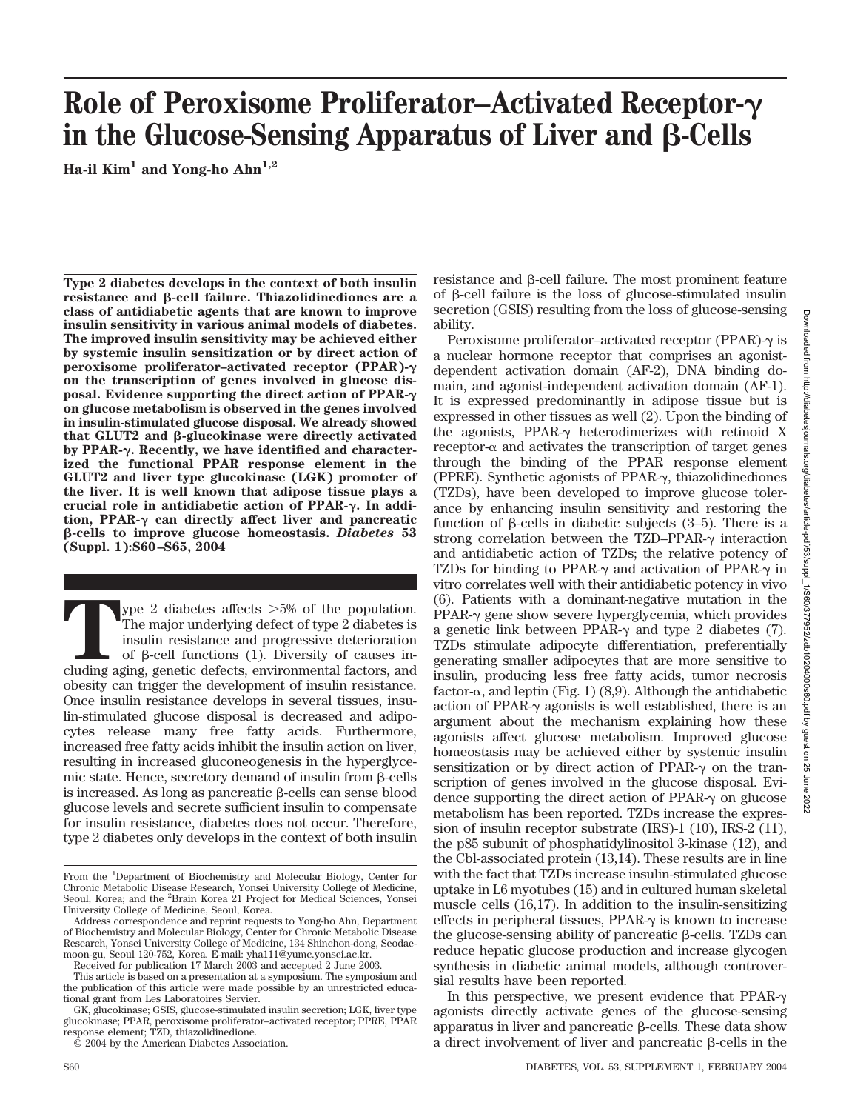# **Role of Peroxisome Proliferator–Activated Receptor** in the Glucose-Sensing Apparatus of Liver and  $\beta$ -Cells

Ha-il Kim<sup>1</sup> and Yong-ho Ahn<sup>1,2</sup>

**Type 2 diabetes develops in the context of both insulin** resistance and β-cell failure. Thiazolidinediones are a **class of antidiabetic agents that are known to improve insulin sensitivity in various animal models of diabetes. The improved insulin sensitivity may be achieved either by systemic insulin sensitization or by direct action of peroxisome proliferator–activated receptor (PPAR) on the transcription of genes involved in glucose disposal. Evidence supporting the direct action of PPAR on glucose metabolism is observed in the genes involved in insulin-stimulated glucose disposal. We already showed** that GLUT2 and β-glucokinase were directly activated **by PPAR-. Recently, we have identified and characterized the functional PPAR response element in the GLUT2 and liver type glucokinase (LGK) promoter of the liver. It is well known that adipose tissue plays a crucial role in antidiabetic action of PPAR-. In addition, PPAR- can directly affect liver and pancreatic** -**-cells to improve glucose homeostasis.** *Diabetes* **53 (Suppl. 1):S60–S65, 2004**

The major underlying defect of type 2 diabetes is<br>insulin resistance and progressive deterioration<br>of β-cell functions (1). Diversity of causes in-<br>cluding aging, genetic defects, environmental factors, and The major underlying defect of type 2 diabetes is insulin resistance and progressive deterioration of  $\beta$ -cell functions (1). Diversity of causes including aging, genetic defects, environmental factors, and obesity can trigger the development of insulin resistance. Once insulin resistance develops in several tissues, insulin-stimulated glucose disposal is decreased and adipocytes release many free fatty acids. Furthermore, increased free fatty acids inhibit the insulin action on liver, resulting in increased gluconeogenesis in the hyperglycemic state. Hence, secretory demand of insulin from  $\beta$ -cells is increased. As long as pancreatic  $\beta$ -cells can sense blood glucose levels and secrete sufficient insulin to compensate for insulin resistance, diabetes does not occur. Therefore, type 2 diabetes only develops in the context of both insulin

 $resistance$  and  $\beta$ -cell failure. The most prominent feature of  $\beta$ -cell failure is the loss of glucose-stimulated insulin secretion (GSIS) resulting from the loss of glucose-sensing ability.

Peroxisome proliferator–activated receptor (PPAR)- $\gamma$  is a nuclear hormone receptor that comprises an agonistdependent activation domain (AF-2), DNA binding domain, and agonist-independent activation domain (AF-1). It is expressed predominantly in adipose tissue but is expressed in other tissues as well (2). Upon the binding of the agonists, PPAR- $\gamma$  heterodimerizes with retinoid X receptor- $\alpha$  and activates the transcription of target genes through the binding of the PPAR response element (PPRE). Synthetic agonists of PPAR- $\gamma$ , thiazolidinediones (TZDs), have been developed to improve glucose tolerance by enhancing insulin sensitivity and restoring the function of  $\beta$ -cells in diabetic subjects (3–5). There is a strong correlation between the TZD–PPAR- $\gamma$  interaction and antidiabetic action of TZDs; the relative potency of TZDs for binding to PPAR- $\gamma$  and activation of PPAR- $\gamma$  in vitro correlates well with their antidiabetic potency in vivo (6). Patients with a dominant-negative mutation in the  $PPAR- $\gamma$  gene show severe hyperglycemia, which provides$ a genetic link between PPAR- $\gamma$  and type 2 diabetes (7). TZDs stimulate adipocyte differentiation, preferentially generating smaller adipocytes that are more sensitive to insulin, producing less free fatty acids, tumor necrosis factor- $\alpha$ , and leptin (Fig. 1) (8,9). Although the antidiabetic action of PPAR- $\gamma$  agonists is well established, there is an argument about the mechanism explaining how these agonists affect glucose metabolism. Improved glucose homeostasis may be achieved either by systemic insulin sensitization or by direct action of PPAR- $\gamma$  on the transcription of genes involved in the glucose disposal. Evidence supporting the direct action of PPAR- $\gamma$  on glucose metabolism has been reported. TZDs increase the expression of insulin receptor substrate (IRS)-1 (10), IRS-2 (11), the p85 subunit of phosphatidylinositol 3-kinase (12), and the Cbl-associated protein (13,14). These results are in line with the fact that TZDs increase insulin-stimulated glucose uptake in L6 myotubes (15) and in cultured human skeletal muscle cells (16,17). In addition to the insulin-sensitizing effects in peripheral tissues,  $PPAR-\gamma$  is known to increase the glucose-sensing ability of pancreatic  $\beta$ -cells. TZDs can reduce hepatic glucose production and increase glycogen synthesis in diabetic animal models, although controversial results have been reported.

In this perspective, we present evidence that  $PPAR-\gamma$ agonists directly activate genes of the glucose-sensing apparatus in liver and pancreatic  $\beta$ -cells. These data show a direct involvement of liver and pancreatic  $\beta$ -cells in the

From the <sup>1</sup>Department of Biochemistry and Molecular Biology, Center for Chronic Metabolic Disease Research, Yonsei University College of Medicine, Seoul, Korea; and the <sup>2</sup>Brain Korea 21 Project for Medical Sciences, Yonsei University College of Medicine, Seoul, Korea.

Address correspondence and reprint requests to Yong-ho Ahn, Department of Biochemistry and Molecular Biology, Center for Chronic Metabolic Disease Research, Yonsei University College of Medicine, 134 Shinchon-dong, Seodaemoon-gu, Seoul 120-752, Korea. E-mail: yha111@yumc.yonsei.ac.kr.

Received for publication 17 March 2003 and accepted 2 June 2003.

This article is based on a presentation at a symposium. The symposium and the publication of this article were made possible by an unrestricted educational grant from Les Laboratoires Servier.

GK, glucokinase; GSIS, glucose-stimulated insulin secretion; LGK, liver type glucokinase; PPAR, peroxisome proliferator–activated receptor; PPRE, PPAR response element; TZD, thiazolidinedione.

<sup>© 2004</sup> by the American Diabetes Association.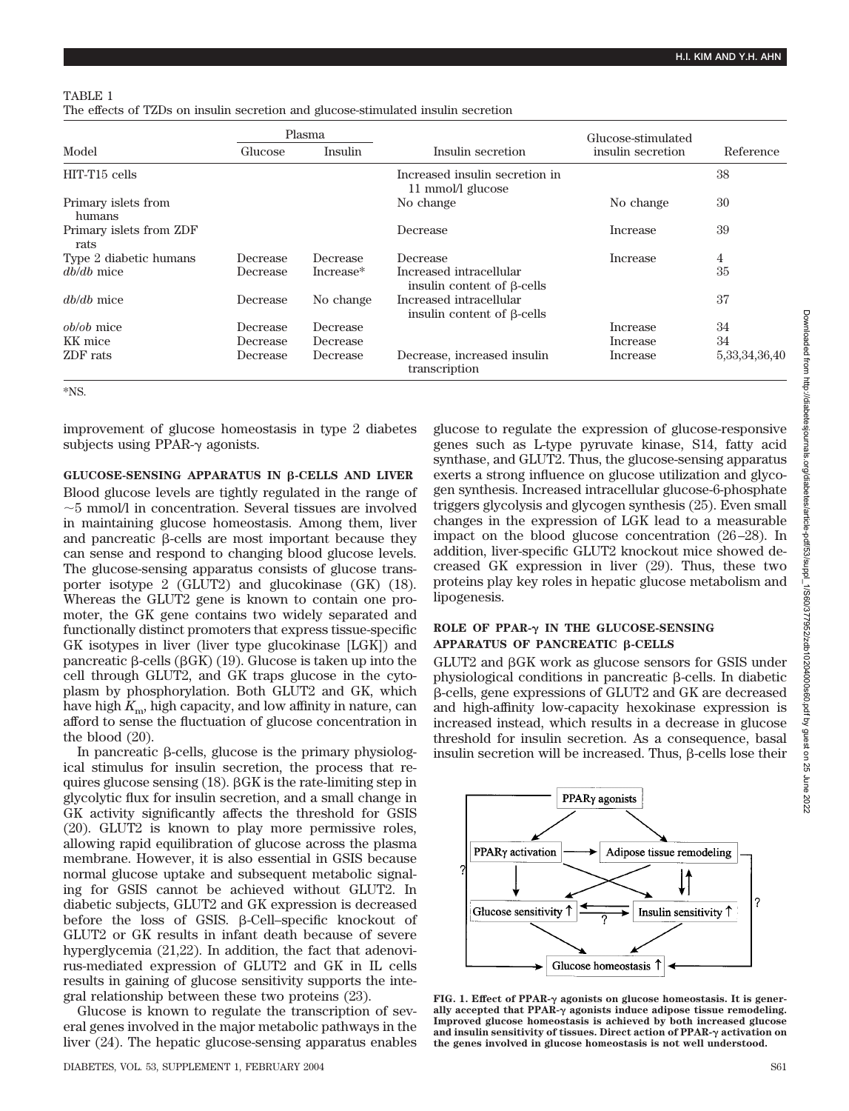#### TABLE 1

The effects of TZDs on insulin secretion and glucose-stimulated insulin secretion

|                                 | Plasma   |           |                                                              | Glucose-stimulated |                   |
|---------------------------------|----------|-----------|--------------------------------------------------------------|--------------------|-------------------|
| Model                           | Glucose  | Insulin   | Insulin secretion                                            | insulin secretion  | Reference         |
| HIT-T15 cells                   |          |           | Increased insulin secretion in<br>11 mmol/l glucose          |                    | 38                |
| Primary islets from<br>humans   |          |           | No change                                                    | No change          | 30                |
| Primary islets from ZDF<br>rats |          |           | Decrease                                                     | Increase           | 39                |
| Type 2 diabetic humans          | Decrease | Decrease  | Decrease                                                     | Increase           | 4                 |
| $db/db$ mice                    | Decrease | Increase* | Increased intracellular<br>insulin content of $\beta$ -cells |                    | 35                |
| $db/db$ mice                    | Decrease | No change | Increased intracellular<br>insulin content of $\beta$ -cells |                    | 37                |
| <i>ob/ob</i> mice               | Decrease | Decrease  |                                                              | Increase           | 34                |
| KK mice                         | Decrease | Decrease  |                                                              | Increase           | 34                |
| ZDF rats                        | Decrease | Decrease  | Decrease, increased insulin<br>transcription                 | Increase           | 5, 33, 34, 36, 40 |

\*NS.

improvement of glucose homeostasis in type 2 diabetes subjects using PPAR- $\gamma$  agonists.

GLUCOSE-SENSING APPARATUS IN β-CELLS AND LIVER

Blood glucose levels are tightly regulated in the range of  $\sim$ 5 mmol/l in concentration. Several tissues are involved in maintaining glucose homeostasis. Among them, liver and pancreatic  $\beta$ -cells are most important because they can sense and respond to changing blood glucose levels. The glucose-sensing apparatus consists of glucose transporter isotype 2 (GLUT2) and glucokinase (GK) (18). Whereas the GLUT2 gene is known to contain one promoter, the GK gene contains two widely separated and functionally distinct promoters that express tissue-specific GK isotypes in liver (liver type glucokinase [LGK]) and pancreatic  $\beta$ -cells ( $\beta$ GK) (19). Glucose is taken up into the cell through GLUT2, and GK traps glucose in the cytoplasm by phosphorylation. Both GLUT2 and GK, which have high *K*m, high capacity, and low affinity in nature, can afford to sense the fluctuation of glucose concentration in the blood (20).

In pancreatic  $\beta$ -cells, glucose is the primary physiological stimulus for insulin secretion, the process that requires glucose sensing  $(18)$ .  $\beta$ GK is the rate-limiting step in glycolytic flux for insulin secretion, and a small change in GK activity significantly affects the threshold for GSIS (20). GLUT2 is known to play more permissive roles, allowing rapid equilibration of glucose across the plasma membrane. However, it is also essential in GSIS because normal glucose uptake and subsequent metabolic signaling for GSIS cannot be achieved without GLUT2. In diabetic subjects, GLUT2 and GK expression is decreased before the loss of GSIS.  $\beta$ -Cell–specific knockout of GLUT2 or GK results in infant death because of severe hyperglycemia (21,22). In addition, the fact that adenovirus-mediated expression of GLUT2 and GK in IL cells results in gaining of glucose sensitivity supports the integral relationship between these two proteins (23).

Glucose is known to regulate the transcription of several genes involved in the major metabolic pathways in the liver (24). The hepatic glucose-sensing apparatus enables glucose to regulate the expression of glucose-responsive genes such as L-type pyruvate kinase, S14, fatty acid synthase, and GLUT2. Thus, the glucose-sensing apparatus exerts a strong influence on glucose utilization and glycogen synthesis. Increased intracellular glucose-6-phosphate triggers glycolysis and glycogen synthesis (25). Even small changes in the expression of LGK lead to a measurable impact on the blood glucose concentration (26–28). In addition, liver-specific GLUT2 knockout mice showed decreased GK expression in liver (29). Thus, these two proteins play key roles in hepatic glucose metabolism and lipogenesis.

# **ROLE OF PPAR-** $\gamma$  **IN THE GLUCOSE-SENSING APPARATUS OF PANCREATIC β-CELLS**

 $GLUT2$  and  $\beta GK$  work as glucose sensors for GSIS under physiological conditions in pancreatic  $\beta$ -cells. In diabetic --cells, gene expressions of GLUT2 and GK are decreased and high-affinity low-capacity hexokinase expression is increased instead, which results in a decrease in glucose threshold for insulin secretion. As a consequence, basal insulin secretion will be increased. Thus,  $\beta$ -cells lose their



FIG. 1. Effect of PPAR- $\gamma$  agonists on glucose homeostasis. It is generally accepted that  $PPAR-<sub>\gamma</sub>$  agonists induce adipose tissue remodeling. **Improved glucose homeostasis is achieved by both increased glucose and insulin sensitivity of tissues. Direct action of PPAR- activation on the genes involved in glucose homeostasis is not well understood.**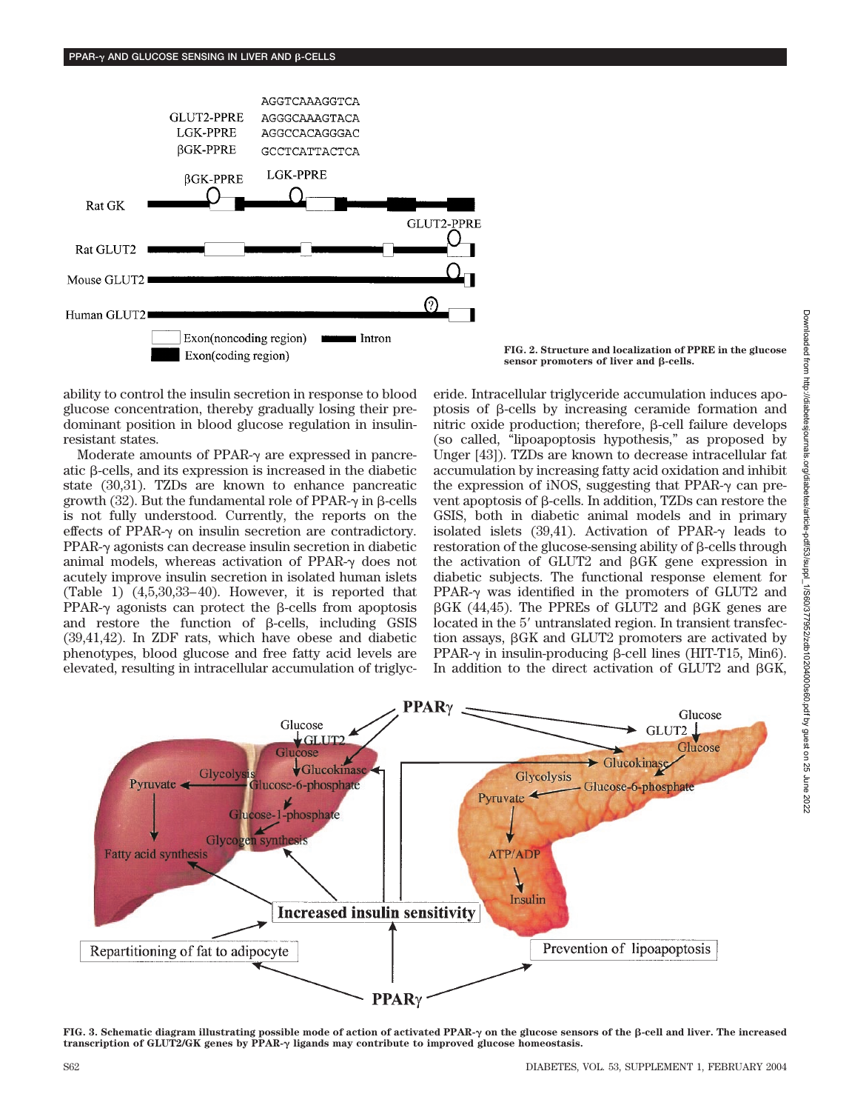

**FIG. 2. Structure and localization of PPRE in the glucose**  $sensor$  promoters of liver and  $\beta$ -cells.

ability to control the insulin secretion in response to blood glucose concentration, thereby gradually losing their predominant position in blood glucose regulation in insulinresistant states.

Moderate amounts of PPAR- $\gamma$  are expressed in pancreatic  $\beta$ -cells, and its expression is increased in the diabetic state (30,31). TZDs are known to enhance pancreatic growth (32). But the fundamental role of PPAR- $\gamma$  in  $\beta$ -cells is not fully understood. Currently, the reports on the effects of PPAR- $\gamma$  on insulin secretion are contradictory.  $PPAR-<sub>\gamma</sub>$  agonists can decrease insulin secretion in diabetic animal models, whereas activation of PPAR- $\gamma$  does not acutely improve insulin secretion in isolated human islets (Table 1) (4,5,30,33–40). However, it is reported that  $PPAR-\gamma$  agonists can protect the  $\beta$ -cells from apoptosis and restore the function of  $\beta$ -cells, including GSIS (39,41,42). In ZDF rats, which have obese and diabetic phenotypes, blood glucose and free fatty acid levels are elevated, resulting in intracellular accumulation of triglyceride. Intracellular triglyceride accumulation induces apoptosis of  $\beta$ -cells by increasing ceramide formation and nitric oxide production; therefore,  $\beta$ -cell failure develops (so called, "lipoapoptosis hypothesis," as proposed by Unger [43]). TZDs are known to decrease intracellular fat accumulation by increasing fatty acid oxidation and inhibit the expression of iNOS, suggesting that PPAR- $\gamma$  can prevent apoptosis of  $\beta$ -cells. In addition, TZDs can restore the GSIS, both in diabetic animal models and in primary isolated islets  $(39,41)$ . Activation of PPAR- $\gamma$  leads to  $r$ estoration of the glucose-sensing ability of  $\beta$ -cells through the activation of GLUT2 and  $\beta$ GK gene expression in diabetic subjects. The functional response element for PPAR- $\gamma$  was identified in the promoters of GLUT2 and  $\beta$ GK (44,45). The PPREs of GLUT2 and  $\beta$ GK genes are located in the 5' untranslated region. In transient transfection assays,  $\beta$ GK and GLUT2 promoters are activated by PPAR- $\gamma$  in insulin-producing  $\beta$ -cell lines (HIT-T15, Min6). In addition to the direct activation of GLUT2 and  $\beta$ GK,



**FIG. 3. Schematic diagram illustrating possible mode of action of activated PPAR- on the glucose sensors of the** -**-cell and liver. The increased transcription of GLUT2/GK genes by PPAR- ligands may contribute to improved glucose homeostasis.**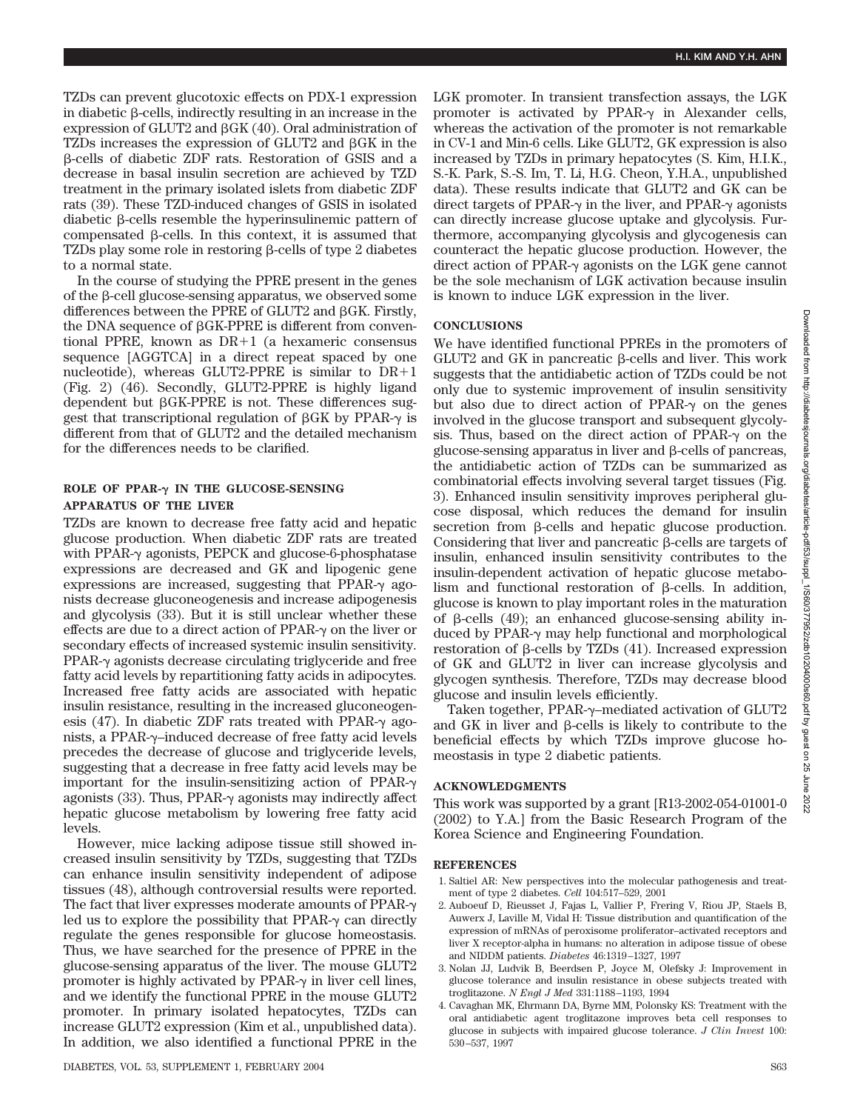TZDs can prevent glucotoxic effects on PDX-1 expression in diabetic  $\beta$ -cells, indirectly resulting in an increase in the expression of GLUT2 and  $\beta$ GK (40). Oral administration of TZDs increases the expression of GLUT2 and  $\beta$ GK in the --cells of diabetic ZDF rats. Restoration of GSIS and a decrease in basal insulin secretion are achieved by TZD treatment in the primary isolated islets from diabetic ZDF rats (39). These TZD-induced changes of GSIS in isolated diabetic  $\beta$ -cells resemble the hyperinsulinemic pattern of compensated  $\beta$ -cells. In this context, it is assumed that TZDs play some role in restoring  $\beta$ -cells of type 2 diabetes to a normal state.

In the course of studying the PPRE present in the genes of the  $\beta$ -cell glucose-sensing apparatus, we observed some differences between the PPRE of GLUT2 and  $\beta$ GK. Firstly, the DNA sequence of  $\beta$ GK-PPRE is different from conventional PPRE, known as  $DR+1$  (a hexameric consensus sequence [AGGTCA] in a direct repeat spaced by one nucleotide), whereas GLUT2-PPRE is similar to  $DR+1$ (Fig. 2) (46). Secondly, GLUT2-PPRE is highly ligand dependent but  $\beta$ GK-PPRE is not. These differences suggest that transcriptional regulation of  $\beta$ GK by PPAR- $\gamma$  is different from that of GLUT2 and the detailed mechanism for the differences needs to be clarified.

## **ROLE OF PPAR-** $\gamma$  **IN THE GLUCOSE-SENSING APPARATUS OF THE LIVER**

TZDs are known to decrease free fatty acid and hepatic glucose production. When diabetic ZDF rats are treated with PPAR- $\gamma$  agonists, PEPCK and glucose-6-phosphatase expressions are decreased and GK and lipogenic gene expressions are increased, suggesting that PPAR- $\gamma$  agonists decrease gluconeogenesis and increase adipogenesis and glycolysis (33). But it is still unclear whether these effects are due to a direct action of PPAR- $\gamma$  on the liver or secondary effects of increased systemic insulin sensitivity.  $PPAR-<sub>\gamma</sub>$  agonists decrease circulating triglyceride and free fatty acid levels by repartitioning fatty acids in adipocytes. Increased free fatty acids are associated with hepatic insulin resistance, resulting in the increased gluconeogenesis (47). In diabetic ZDF rats treated with PPAR- $\gamma$  agonists, a PPAR-γ-induced decrease of free fatty acid levels precedes the decrease of glucose and triglyceride levels, suggesting that a decrease in free fatty acid levels may be important for the insulin-sensitizing action of PPAR- $\gamma$ agonists (33). Thus, PPAR- $\gamma$  agonists may indirectly affect hepatic glucose metabolism by lowering free fatty acid levels.

However, mice lacking adipose tissue still showed increased insulin sensitivity by TZDs, suggesting that TZDs can enhance insulin sensitivity independent of adipose tissues (48), although controversial results were reported. The fact that liver expresses moderate amounts of PPAR- $\gamma$ led us to explore the possibility that  $PPAR-\gamma$  can directly regulate the genes responsible for glucose homeostasis. Thus, we have searched for the presence of PPRE in the glucose-sensing apparatus of the liver. The mouse GLUT2 promoter is highly activated by  $PPAR-\gamma$  in liver cell lines, and we identify the functional PPRE in the mouse GLUT2 promoter. In primary isolated hepatocytes, TZDs can increase GLUT2 expression (Kim et al., unpublished data). In addition, we also identified a functional PPRE in the LGK promoter. In transient transfection assays, the LGK promoter is activated by PPAR- $\gamma$  in Alexander cells, whereas the activation of the promoter is not remarkable in CV-1 and Min-6 cells. Like GLUT2, GK expression is also increased by TZDs in primary hepatocytes (S. Kim, H.I.K., S.-K. Park, S.-S. Im, T. Li, H.G. Cheon, Y.H.A., unpublished data). These results indicate that GLUT2 and GK can be direct targets of PPAR- $\gamma$  in the liver, and PPAR- $\gamma$  agonists can directly increase glucose uptake and glycolysis. Furthermore, accompanying glycolysis and glycogenesis can counteract the hepatic glucose production. However, the direct action of PPAR- $\gamma$  agonists on the LGK gene cannot be the sole mechanism of LGK activation because insulin is known to induce LGK expression in the liver.

## **CONCLUSIONS**

We have identified functional PPREs in the promoters of  $GLUT2$  and  $GK$  in pancreatic  $\beta$ -cells and liver. This work suggests that the antidiabetic action of TZDs could be not only due to systemic improvement of insulin sensitivity but also due to direct action of PPAR- $\gamma$  on the genes involved in the glucose transport and subsequent glycolysis. Thus, based on the direct action of PPAR- $\gamma$  on the  $glucose$ -sensing apparatus in liver and  $\beta$ -cells of pancreas, the antidiabetic action of TZDs can be summarized as combinatorial effects involving several target tissues (Fig. 3). Enhanced insulin sensitivity improves peripheral glucose disposal, which reduces the demand for insulin secretion from  $\beta$ -cells and hepatic glucose production. Considering that liver and pancreatic  $\beta$ -cells are targets of insulin, enhanced insulin sensitivity contributes to the insulin-dependent activation of hepatic glucose metabo- $\lim$  and functional restoration of  $\beta$ -cells. In addition, glucose is known to play important roles in the maturation of  $\beta$ -cells (49); an enhanced glucose-sensing ability induced by PPAR- $\gamma$  may help functional and morphological restoration of  $\beta$ -cells by TZDs  $(41)$ . Increased expression of GK and GLUT2 in liver can increase glycolysis and glycogen synthesis. Therefore, TZDs may decrease blood glucose and insulin levels efficiently.

Taken together, PPAR- $\gamma$ -mediated activation of GLUT2 and GK in liver and  $\beta$ -cells is likely to contribute to the beneficial effects by which TZDs improve glucose homeostasis in type 2 diabetic patients.

#### **ACKNOWLEDGMENTS**

This work was supported by a grant [R13-2002-054-01001-0 (2002) to Y.A.] from the Basic Research Program of the Korea Science and Engineering Foundation.

#### **REFERENCES**

- 1. Saltiel AR: New perspectives into the molecular pathogenesis and treatment of type 2 diabetes. *Cell* 104:517–529, 2001
- 2. Auboeuf D, Rieusset J, Fajas L, Vallier P, Frering V, Riou JP, Staels B, Auwerx J, Laville M, Vidal H: Tissue distribution and quantification of the expression of mRNAs of peroxisome proliferator–activated receptors and liver X receptor-alpha in humans: no alteration in adipose tissue of obese and NIDDM patients. *Diabetes* 46:1319–1327, 1997
- 3. Nolan JJ, Ludvik B, Beerdsen P, Joyce M, Olefsky J: Improvement in glucose tolerance and insulin resistance in obese subjects treated with troglitazone. *N Engl J Med* 331:1188–1193, 1994
- 4. Cavaghan MK, Ehrmann DA, Byrne MM, Polonsky KS: Treatment with the oral antidiabetic agent troglitazone improves beta cell responses to glucose in subjects with impaired glucose tolerance. *J Clin Invest* 100: 530–537, 1997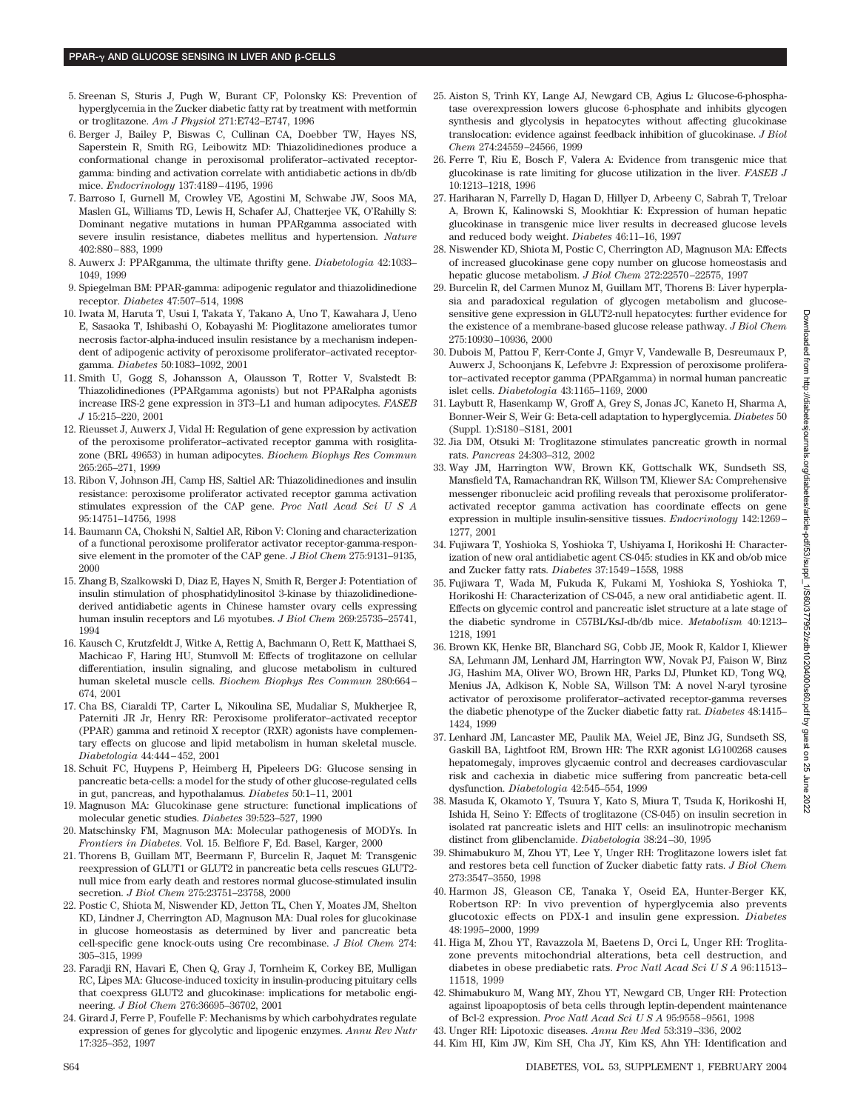- 5. Sreenan S, Sturis J, Pugh W, Burant CF, Polonsky KS: Prevention of hyperglycemia in the Zucker diabetic fatty rat by treatment with metformin or troglitazone. *Am J Physiol* 271:E742–E747, 1996
- 6. Berger J, Bailey P, Biswas C, Cullinan CA, Doebber TW, Hayes NS, Saperstein R, Smith RG, Leibowitz MD: Thiazolidinediones produce a conformational change in peroxisomal proliferator–activated receptorgamma: binding and activation correlate with antidiabetic actions in db/db mice. *Endocrinology* 137:4189–4195, 1996
- 7. Barroso I, Gurnell M, Crowley VE, Agostini M, Schwabe JW, Soos MA, Maslen GL, Williams TD, Lewis H, Schafer AJ, Chatterjee VK, O'Rahilly S: Dominant negative mutations in human PPARgamma associated with severe insulin resistance, diabetes mellitus and hypertension. *Nature* 402:880–883, 1999
- 8. Auwerx J: PPARgamma, the ultimate thrifty gene. *Diabetologia* 42:1033– 1049, 1999
- 9. Spiegelman BM: PPAR-gamma: adipogenic regulator and thiazolidinedione receptor. *Diabetes* 47:507–514, 1998
- 10. Iwata M, Haruta T, Usui I, Takata Y, Takano A, Uno T, Kawahara J, Ueno E, Sasaoka T, Ishibashi O, Kobayashi M: Pioglitazone ameliorates tumor necrosis factor-alpha-induced insulin resistance by a mechanism independent of adipogenic activity of peroxisome proliferator–activated receptorgamma. *Diabetes* 50:1083–1092, 2001
- 11. Smith U, Gogg S, Johansson A, Olausson T, Rotter V, Svalstedt B: Thiazolidinediones (PPARgamma agonists) but not PPARalpha agonists increase IRS-2 gene expression in 3T3–L1 and human adipocytes. *FASEB J* 15:215–220, 2001
- 12. Rieusset J, Auwerx J, Vidal H: Regulation of gene expression by activation of the peroxisome proliferator–activated receptor gamma with rosiglitazone (BRL 49653) in human adipocytes. *Biochem Biophys Res Commun* 265:265–271, 1999
- 13. Ribon V, Johnson JH, Camp HS, Saltiel AR: Thiazolidinediones and insulin resistance: peroxisome proliferator activated receptor gamma activation stimulates expression of the CAP gene. *Proc Natl Acad SciUSA* 95:14751–14756, 1998
- 14. Baumann CA, Chokshi N, Saltiel AR, Ribon V: Cloning and characterization of a functional peroxisome proliferator activator receptor-gamma-responsive element in the promoter of the CAP gene. *J Biol Chem* 275:9131–9135, 2000
- 15. Zhang B, Szalkowski D, Diaz E, Hayes N, Smith R, Berger J: Potentiation of insulin stimulation of phosphatidylinositol 3-kinase by thiazolidinedionederived antidiabetic agents in Chinese hamster ovary cells expressing human insulin receptors and L6 myotubes. *J Biol Chem* 269:25735–25741, 1994
- 16. Kausch C, Krutzfeldt J, Witke A, Rettig A, Bachmann O, Rett K, Matthaei S, Machicao F, Haring HU, Stumvoll M: Effects of troglitazone on cellular differentiation, insulin signaling, and glucose metabolism in cultured human skeletal muscle cells. *Biochem Biophys Res Commun* 280:664– 674, 2001
- 17. Cha BS, Ciaraldi TP, Carter L, Nikoulina SE, Mudaliar S, Mukherjee R, Paterniti JR Jr, Henry RR: Peroxisome proliferator–activated receptor (PPAR) gamma and retinoid X receptor (RXR) agonists have complementary effects on glucose and lipid metabolism in human skeletal muscle. *Diabetologia* 44:444–452, 2001
- 18. Schuit FC, Huypens P, Heimberg H, Pipeleers DG: Glucose sensing in pancreatic beta-cells: a model for the study of other glucose-regulated cells in gut, pancreas, and hypothalamus. *Diabetes* 50:1–11, 2001
- 19. Magnuson MA: Glucokinase gene structure: functional implications of molecular genetic studies. *Diabetes* 39:523–527, 1990
- 20. Matschinsky FM, Magnuson MA: Molecular pathogenesis of MODYs. In *Frontiers in Diabetes.* Vol. 15. Belfiore F, Ed. Basel, Karger, 2000
- 21. Thorens B, Guillam MT, Beermann F, Burcelin R, Jaquet M: Transgenic reexpression of GLUT1 or GLUT2 in pancreatic beta cells rescues GLUT2 null mice from early death and restores normal glucose-stimulated insulin secretion. *J Biol Chem* 275:23751–23758, 2000
- 22. Postic C, Shiota M, Niswender KD, Jetton TL, Chen Y, Moates JM, Shelton KD, Lindner J, Cherrington AD, Magnuson MA: Dual roles for glucokinase in glucose homeostasis as determined by liver and pancreatic beta cell-specific gene knock-outs using Cre recombinase. *J Biol Chem* 274: 305–315, 1999
- 23. Faradji RN, Havari E, Chen Q, Gray J, Tornheim K, Corkey BE, Mulligan RC, Lipes MA: Glucose-induced toxicity in insulin-producing pituitary cells that coexpress GLUT2 and glucokinase: implications for metabolic engineering. *J Biol Chem* 276:36695–36702, 2001
- 24. Girard J, Ferre P, Foufelle F: Mechanisms by which carbohydrates regulate expression of genes for glycolytic and lipogenic enzymes. *Annu Rev Nutr* 17:325–352, 1997
- 25. Aiston S, Trinh KY, Lange AJ, Newgard CB, Agius L: Glucose-6-phosphatase overexpression lowers glucose 6-phosphate and inhibits glycogen synthesis and glycolysis in hepatocytes without affecting glucokinase translocation: evidence against feedback inhibition of glucokinase. *J Biol Chem* 274:24559–24566, 1999
- 26. Ferre T, Riu E, Bosch F, Valera A: Evidence from transgenic mice that glucokinase is rate limiting for glucose utilization in the liver. *FASEB J* 10:1213–1218, 1996
- 27. Hariharan N, Farrelly D, Hagan D, Hillyer D, Arbeeny C, Sabrah T, Treloar A, Brown K, Kalinowski S, Mookhtiar K: Expression of human hepatic glucokinase in transgenic mice liver results in decreased glucose levels and reduced body weight. *Diabetes* 46:11–16, 1997
- 28. Niswender KD, Shiota M, Postic C, Cherrington AD, Magnuson MA: Effects of increased glucokinase gene copy number on glucose homeostasis and hepatic glucose metabolism. *J Biol Chem* 272:22570–22575, 1997
- 29. Burcelin R, del Carmen Munoz M, Guillam MT, Thorens B: Liver hyperplasia and paradoxical regulation of glycogen metabolism and glucosesensitive gene expression in GLUT2-null hepatocytes: further evidence for the existence of a membrane-based glucose release pathway. *J Biol Chem* 275:10930–10936, 2000
- 30. Dubois M, Pattou F, Kerr-Conte J, Gmyr V, Vandewalle B, Desreumaux P, Auwerx J, Schoonjans K, Lefebvre J: Expression of peroxisome proliferator–activated receptor gamma (PPARgamma) in normal human pancreatic islet cells. *Diabetologia* 43:1165–1169, 2000
- 31. Laybutt R, Hasenkamp W, Groff A, Grey S, Jonas JC, Kaneto H, Sharma A, Bonner-Weir S, Weir G: Beta-cell adaptation to hyperglycemia. *Diabetes* 50 (Suppl. 1):S180–S181, 2001
- 32. Jia DM, Otsuki M: Troglitazone stimulates pancreatic growth in normal rats. *Pancreas* 24:303–312, 2002
- 33. Way JM, Harrington WW, Brown KK, Gottschalk WK, Sundseth SS, Mansfield TA, Ramachandran RK, Willson TM, Kliewer SA: Comprehensive messenger ribonucleic acid profiling reveals that peroxisome proliferatoractivated receptor gamma activation has coordinate effects on gene expression in multiple insulin-sensitive tissues. *Endocrinology* 142:1269– 1277, 2001
- 34. Fujiwara T, Yoshioka S, Yoshioka T, Ushiyama I, Horikoshi H: Characterization of new oral antidiabetic agent CS-045: studies in KK and ob/ob mice and Zucker fatty rats. *Diabetes* 37:1549–1558, 1988
- 35. Fujiwara T, Wada M, Fukuda K, Fukami M, Yoshioka S, Yoshioka T, Horikoshi H: Characterization of CS-045, a new oral antidiabetic agent. II. Effects on glycemic control and pancreatic islet structure at a late stage of the diabetic syndrome in C57BL/KsJ-db/db mice. *Metabolism* 40:1213– 1218, 1991
- 36. Brown KK, Henke BR, Blanchard SG, Cobb JE, Mook R, Kaldor I, Kliewer SA, Lehmann JM, Lenhard JM, Harrington WW, Novak PJ, Faison W, Binz JG, Hashim MA, Oliver WO, Brown HR, Parks DJ, Plunket KD, Tong WQ, Menius JA, Adkison K, Noble SA, Willson TM: A novel N-aryl tyrosine activator of peroxisome proliferator–activated receptor-gamma reverses the diabetic phenotype of the Zucker diabetic fatty rat. *Diabetes* 48:1415– 1424, 1999
- 37. Lenhard JM, Lancaster ME, Paulik MA, Weiel JE, Binz JG, Sundseth SS, Gaskill BA, Lightfoot RM, Brown HR: The RXR agonist LG100268 causes hepatomegaly, improves glycaemic control and decreases cardiovascular risk and cachexia in diabetic mice suffering from pancreatic beta-cell dysfunction. *Diabetologia* 42:545–554, 1999
- 38. Masuda K, Okamoto Y, Tsuura Y, Kato S, Miura T, Tsuda K, Horikoshi H, Ishida H, Seino Y: Effects of troglitazone (CS-045) on insulin secretion in isolated rat pancreatic islets and HIT cells: an insulinotropic mechanism distinct from glibenclamide. *Diabetologia* 38:24–30, 1995
- 39. Shimabukuro M, Zhou YT, Lee Y, Unger RH: Troglitazone lowers islet fat and restores beta cell function of Zucker diabetic fatty rats. *J Biol Chem* 273:3547–3550, 1998
- 40. Harmon JS, Gleason CE, Tanaka Y, Oseid EA, Hunter-Berger KK, Robertson RP: In vivo prevention of hyperglycemia also prevents glucotoxic effects on PDX-1 and insulin gene expression. *Diabetes* 48:1995–2000, 1999
- 41. Higa M, Zhou YT, Ravazzola M, Baetens D, Orci L, Unger RH: Troglitazone prevents mitochondrial alterations, beta cell destruction, and diabetes in obese prediabetic rats. *Proc Natl Acad SciUSA* 96:11513– 11518, 1999
- 42. Shimabukuro M, Wang MY, Zhou YT, Newgard CB, Unger RH: Protection against lipoapoptosis of beta cells through leptin-dependent maintenance of Bcl-2 expression. *Proc Natl Acad SciUSA* 95:9558–9561, 1998
- 43. Unger RH: Lipotoxic diseases. *Annu Rev Med* 53:319–336, 2002
- 44. Kim HI, Kim JW, Kim SH, Cha JY, Kim KS, Ahn YH: Identification and